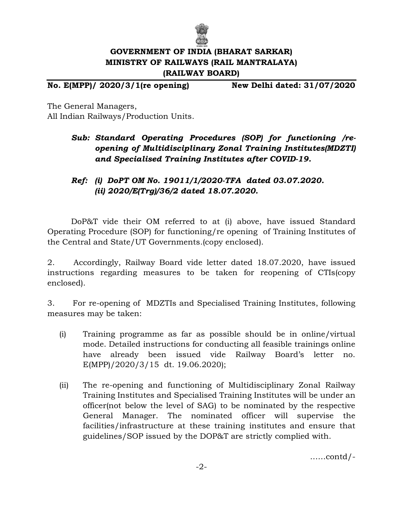

## **GOVERNMENT OF INDIA (BHARAT SARKAR) MINISTRY OF RAILWAYS (RAIL MANTRALAYA) (RAILWAY BOARD)**

**No. E(MPP)/ 2020/3/1(re opening) New Delhi dated: 31/07/2020**

The General Managers, All Indian Railways/Production Units.

## *Sub: Standard Operating Procedures (SOP) for functioning /reopening of Multidisciplinary Zonal Training Institutes(MDZTI) and Specialised Training Institutes after COVID-19.*

## *Ref: (i) DoPT OM No. 19011/1/2020-TFA dated 03.07.2020. (ii) 2020/E(Trg)/36/2 dated 18.07.2020.*

DoP&T vide their OM referred to at (i) above, have issued Standard Operating Procedure (SOP) for functioning/re opening of Training Institutes of the Central and State/UT Governments.(copy enclosed).

2. Accordingly, Railway Board vide letter dated 18.07.2020, have issued instructions regarding measures to be taken for reopening of CTIs(copy enclosed).

3. For re-opening of MDZTIs and Specialised Training Institutes, following measures may be taken:

- (i) Training programme as far as possible should be in online/virtual mode. Detailed instructions for conducting all feasible trainings online have already been issued vide Railway Board's letter no. E(MPP)/2020/3/15 dt. 19.06.2020);
- (ii) The re-opening and functioning of Multidisciplinary Zonal Railway Training Institutes and Specialised Training Institutes will be under an officer(not below the level of SAG) to be nominated by the respective General Manager. The nominated officer will supervise the facilities/infrastructure at these training institutes and ensure that guidelines/SOP issued by the DOP&T are strictly complied with.

……contd/-